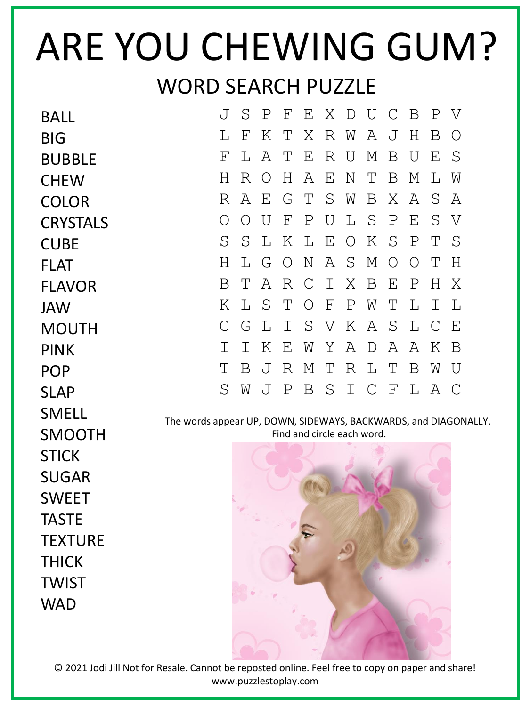## ARE YOU CHEWING GUM? WORD SEARCH PUZZLE

| <b>BALL</b>     | $\overline{J}$                                                                                | S                         | $\mathbf P$  | F            | Ε             | Χ            | $\mathbb D$ | U             | $\mathsf{C}$ | B           | Ρ | V           |  |
|-----------------|-----------------------------------------------------------------------------------------------|---------------------------|--------------|--------------|---------------|--------------|-------------|---------------|--------------|-------------|---|-------------|--|
| <b>BIG</b>      | L                                                                                             | $\boldsymbol{\mathrm{F}}$ | Κ            | Т            | X             | R            | W           | A             | J            | Η           | B | O           |  |
| <b>BUBBLE</b>   | $\mathbf{F}$                                                                                  | L                         | A            | Т            | E             | R            | U           | М             | B            | U           | Ε | S           |  |
| <b>CHEW</b>     | Η                                                                                             | R                         | O            | Н            | Α             | Ε            | N           | Т             | B            | М           | L | W           |  |
| <b>COLOR</b>    | $\mathbb{R}$                                                                                  | Α                         | E            | G            | Τ             | S            | W           | Β             | Χ            | Α           | S | A           |  |
| <b>CRYSTALS</b> | O                                                                                             | О                         | U            | $\mathbf{F}$ | Ρ             | U            | L           | S             | $\mathbf P$  | Ε           | S | V           |  |
| <b>CUBE</b>     | S                                                                                             | S                         | L            | Κ            | L             | Ε            | $\bigcirc$  | Κ             | S            | Ρ           | Т | S           |  |
| <b>FLAT</b>     | H                                                                                             | L                         | G            | $\bigcirc$   | $\mathbf N$   | Α            | S           | М             | $\bigcirc$   | $\bigcirc$  | Т | Η           |  |
| <b>FLAVOR</b>   | B                                                                                             | Т                         | Α            | $\mathbb{R}$ | $\mathcal{C}$ | $\mathbf I$  | Χ           | B             | Ε            | $\mathbf P$ | H | Χ           |  |
| <b>JAW</b>      | Κ                                                                                             | L                         | S            | Т            | $\bigcirc$    | $\mathbf{F}$ | Ρ           | W             | Τ            | L           | Ι | L           |  |
| <b>MOUTH</b>    | $\mathcal C$                                                                                  | G                         | $\mathbb{L}$ | Ι            | S             | V            | Κ           | Α             | S            | L           | C | E           |  |
| <b>PINK</b>     | Ι                                                                                             | Ι                         | Κ            | Ε            | W             | Υ            | Α           | $\mathbb D$   | Α            | Α           | Κ | B           |  |
| <b>POP</b>      | Τ                                                                                             | Β                         | J            | R            | М             | Τ            | R           | L             | Т            | B           | W | U           |  |
| <b>SLAP</b>     | S                                                                                             | W                         | J            | Ρ            | Β             | S            | Ι           | $\mathcal{C}$ | F            | L           | Α | $\mathbb C$ |  |
| <b>SMELL</b>    |                                                                                               |                           |              |              |               |              |             |               |              |             |   |             |  |
| <b>SMOOTH</b>   | The words appear UP, DOWN, SIDEWAYS, BACKWARDS, and DIAGONALLY.<br>Find and circle each word. |                           |              |              |               |              |             |               |              |             |   |             |  |
| <b>STICK</b>    |                                                                                               |                           |              |              |               |              |             |               |              |             |   |             |  |
| <b>SUGAR</b>    |                                                                                               |                           |              |              |               |              |             |               |              |             |   |             |  |
| <b>SWEET</b>    |                                                                                               |                           |              |              |               |              |             |               |              |             |   |             |  |
| <b>TASTE</b>    |                                                                                               |                           |              |              |               |              |             |               |              |             |   |             |  |
| <b>TEXTURE</b>  |                                                                                               |                           |              |              |               |              |             |               |              |             |   |             |  |
| <b>THICK</b>    |                                                                                               |                           |              |              |               |              |             |               |              |             |   |             |  |
| <b>TWIST</b>    |                                                                                               |                           |              |              |               |              |             |               |              |             |   |             |  |
| <b>WAD</b>      |                                                                                               |                           |              |              |               |              |             |               |              |             |   |             |  |

© 2021 Jodi Jill Not for Resale. Cannot be reposted online. Feel free to copy on paper and share! www.puzzlestoplay.com